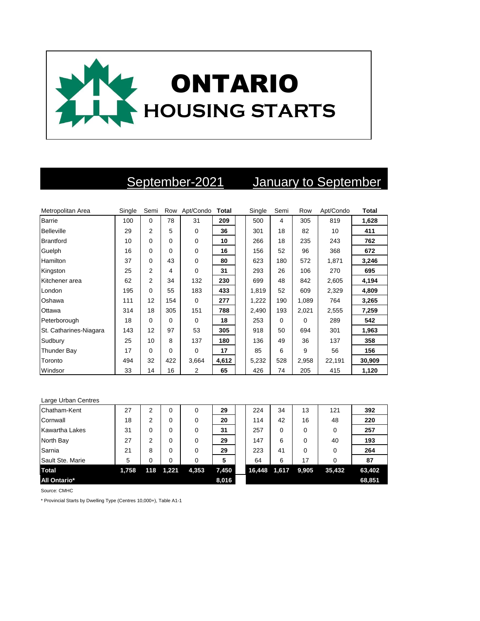

## September-2021 January to September

| Metropolitan Area      | Single | Semi           | Row      | Apt/Condo      | Total | Single | Semi | Row   | Apt/Condo | <b>Total</b> |
|------------------------|--------|----------------|----------|----------------|-------|--------|------|-------|-----------|--------------|
| <b>Barrie</b>          | 100    | $\Omega$       | 78       | 31             | 209   | 500    | 4    | 305   | 819       | 1,628        |
| Belleville             | 29     | $\overline{2}$ | 5        | $\Omega$       | 36    | 301    | 18   | 82    | 10        | 411          |
| <b>Brantford</b>       | 10     | $\Omega$       | $\Omega$ | $\mathbf 0$    | 10    | 266    | 18   | 235   | 243       | 762          |
| Guelph                 | 16     | 0              | $\Omega$ | $\Omega$       | 16    | 156    | 52   | 96    | 368       | 672          |
| Hamilton               | 37     | $\Omega$       | 43       | $\mathbf 0$    | 80    | 623    | 180  | 572   | 1,871     | 3,246        |
| Kingston               | 25     | $\overline{2}$ | 4        | $\Omega$       | 31    | 293    | 26   | 106   | 270       | 695          |
| Kitchener area         | 62     | 2              | 34       | 132            | 230   | 699    | 48   | 842   | 2,605     | 4,194        |
| London                 | 195    | 0              | 55       | 183            | 433   | 1,819  | 52   | 609   | 2,329     | 4,809        |
| Oshawa                 | 111    | 12             | 154      | $\Omega$       | 277   | 1,222  | 190  | 1,089 | 764       | 3,265        |
| Ottawa                 | 314    | 18             | 305      | 151            | 788   | 2,490  | 193  | 2,021 | 2,555     | 7,259        |
| Peterborough           | 18     | 0              | $\Omega$ | $\Omega$       | 18    | 253    | 0    | 0     | 289       | 542          |
| St. Catharines-Niagara | 143    | 12             | 97       | 53             | 305   | 918    | 50   | 694   | 301       | 1,963        |
| Sudbury                | 25     | 10             | 8        | 137            | 180   | 136    | 49   | 36    | 137       | 358          |
| Thunder Bay            | 17     | 0              | $\Omega$ | $\Omega$       | 17    | 85     | 6    | 9     | 56        | 156          |
| Toronto                | 494    | 32             | 422      | 3,664          | 4,612 | 5,232  | 528  | 2,958 | 22,191    | 30,909       |
| Windsor                | 33     | 14             | 16       | $\overline{2}$ | 65    | 426    | 74   | 205   | 415       | 1,120        |

| Large Urban Centres   |       |     |       |          |       |        |       |       |        |        |
|-----------------------|-------|-----|-------|----------|-------|--------|-------|-------|--------|--------|
| Chatham-Kent          | 27    | 2   | 0     | $\Omega$ | 29    | 224    | 34    | 13    | 121    | 392    |
| Cornwall              | 18    | 2   | 0     | $\Omega$ | 20    | 114    | 42    | 16    | 48     | 220    |
| <b>Kawartha Lakes</b> | 31    | 0   | 0     | $\Omega$ | 31    | 257    | 0     | 0     | 0      | 257    |
| North Bay             | 27    | 2   | 0     | $\Omega$ | 29    | 147    | 6     | 0     | 40     | 193    |
| Sarnia                | 21    | 8   | 0     | $\Omega$ | 29    | 223    | 41    | 0     | 0      | 264    |
| Sault Ste. Marie      | 5     | 0   | 0     | $\Omega$ | 5     | 64     | 6     | 17    | 0      | 87     |
| <b>Total</b>          | 1,758 | 118 | 1,221 | 4,353    | 7,450 | 16,448 | 1,617 | 9,905 | 35,432 | 63,402 |
| <b>All Ontario*</b>   |       |     |       |          | 8,016 |        |       |       |        | 68,851 |

Source: CMHC

\* Provincial Starts by Dwelling Type (Centres 10,000+), Table A1-1